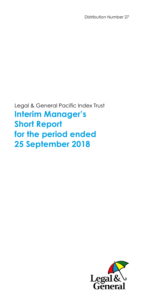Distribution Number 27

Legal & General Pacific Index Trust **Interim Manager's Short Report for the period ended 25 September 2018** 

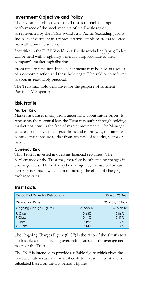## **Investment Objective and Policy**

The investment objective of this Trust is to track the capital performance of the stock markets of the Pacific region, as represented by the FTSE World Asia Pacific (excluding Japan) Index, by investment in a representative sample of stocks selected from all economic sectors.

Securities in the FTSE World Asia Pacific (excluding Japan) Index will be held with weightings generally proportionate to their company's market capitalisation.

From time to time non-Index constituents may be held as a result of a corporate action and these holdings will be sold or transferred as soon as reasonably practical.

The Trust may hold derivatives for the purpose of Efficient Portfolio Management.

## **Risk Profile**

### **Market Risk**

Market risk arises mainly from uncertainty about future prices. It represents the potential loss the Trust may suffer through holding market positions in the face of market movements. The Manager adheres to the investment guidelines and in this way, monitors and controls the exposure to risk from any type of security, sector or issuer.

### **Currency Risk**

This Trust is invested in overseas financial securities. The performance of the Trust may therefore be affected by changes in exchange rates. This risk may be managed by the use of forward currency contracts, which aim to manage the effect of changing exchange rates.

## **Trust Facts**

| <b>Period Fnd Dates for Distributions:</b> |           | 25 Mar, 25 Sep |
|--------------------------------------------|-----------|----------------|
| Distribution Dates:                        |           | 25 May, 25 Nov |
| <b>Ongoing Charges Figures:</b>            | 25 Sep 18 | 25 Mar 18      |
| $R$ -Class                                 | 0.63%     | 0.86%          |
| F-Class                                    | 0.41%     | 0.41%          |
| I-Class                                    | 0.19%     | 0.19%          |
| C-Class                                    | 0.14%     | 0.14%          |

The Ongoing Charges Figure (OCF) is the ratio of the Trust's total disclosable costs (excluding overdraft interest) to the average net assets of the Trust.

The OCF is intended to provide a reliable figure which gives the most accurate measure of what it costs to invest in a trust and is calculated based on the last period's figures.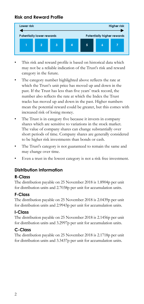## **Risk and Reward Profile**



- This risk and reward profile is based on historical data which may not be a reliable indication of the Trust's risk and reward category in the future.
- The category number highlighted above reflects the rate at which the Trust's unit price has moved up and down in the past. If the Trust has less than five years' track record, the number also reflects the rate at which the Index the Trust tracks has moved up and down in the past. Higher numbers mean the potential reward could be greater, but this comes with increased risk of losing money.
- The Trust is in category five because it invests in company shares which are sensitive to variations in the stock market. The value of company shares can change substantially over short periods of time. Company shares are generally considered to be higher risk investments than bonds or cash.
- The Trust's category is not guaranteed to remain the same and may change over time.
- Even a trust in the lowest category is not a risk free investment.

## **Distribution Information**

### **R-Class**

The distribution payable on 25 November 2018 is 1.8904p per unit for distribution units and 2.7038p per unit for accumulation units.

## **F-Class**

The distribution payable on 25 November 2018 is 2.0439p per unit for distribution units and 2.9943p per unit for accumulation units.

## **I-Class**

The distribution payable on 25 November 2018 is 2.1456p per unit for distribution units and 3.2997p per unit for accumulation units.

## **C-Class**

The distribution payable on 25 November 2018 is 2.1718p per unit for distribution units and 3.3437p per unit for accumulation units.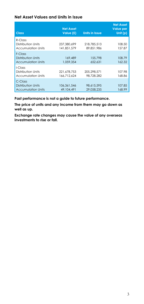#### **Net Asset Values and Units in Issue**

| <b>Class</b>                                                         | <b>Net Asset</b><br>Value (£) | <b>Units in Issue</b>     | <b>Net Asset</b><br><b>Value per</b><br>Unit $(p)$ |
|----------------------------------------------------------------------|-------------------------------|---------------------------|----------------------------------------------------|
| $R$ -Class<br>Distribution Units<br><b>Accumulation Units</b>        | 237.380.699<br>141.851.579    | 218,785,513<br>89.851.986 | 108.50<br>157.87                                   |
| F-Class<br><b>Distribution Units</b><br><b>Accumulation Units</b>    | 169,489<br>1.059.354          | 155,798<br>652.631        | 108.79<br>162.32                                   |
| I-Class<br>Distribution Units<br>Accumulation Units                  | 221.678.753<br>166.712.624    | 205.298.571<br>98.728.282 | 107.98<br>168.86                                   |
| $C$ -Class<br><b>Distribution Units</b><br><b>Accumulation Units</b> | 106.361.546<br>49, 104, 491   | 98.615.595<br>29.058.235  | 107.85<br>168.99                                   |

**Past performance is not a guide to future performance.** 

**The price of units and any income from them may go down as well as up.** 

**Exchange rate changes may cause the value of any overseas investments to rise or fall.**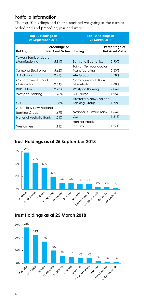## **Portfolio Information**

The top 10 holdings and their associated weighting at the current period end and preceding year end were:

| <b>Top 10 Holdings at</b><br>25 September 2018 |                                  | <b>Top 10 Holdings at</b><br><b>25 March 2018</b> |                                  |  |
|------------------------------------------------|----------------------------------|---------------------------------------------------|----------------------------------|--|
| Holding                                        | Percentage of<br>Net Asset Value | Holding                                           | Percentage of<br>Net Asset Value |  |
| <b>Taiwan Semiconductor</b><br>Manufacturing   | 5.81%                            | Samsung Electronics                               | 5.90%                            |  |
| Samsung Electronics                            | 5.62%                            | Taiwan Semiconductor<br>Manufacturing             | 5.50%                            |  |
| <b>AIA Group</b>                               | 2.91%                            | AIA Group                                         | 2.78%                            |  |
| Commonwealth Bank<br>of Australia              | 2.54%                            | Commonwealth Bank<br>of Australia                 | 2.68%                            |  |
| <b>BHP Billiton</b>                            | 2.23%                            | Westpac Banking                                   | 2.06%                            |  |
| Westpac Banking                                | 1.95%                            | <b>BHP Billiton</b>                               | 1.95%                            |  |
| <b>CSL</b>                                     | 1.88%                            | Australia & New Zealand<br><b>Banking Group</b>   | 1.72%                            |  |
| Australia & New Zealand                        |                                  |                                                   |                                  |  |
| Banking Group                                  | 1.67%                            | National Australia Bank                           | 1.66%                            |  |
| National Australia Bank                        | 1.54%                            | CSL.                                              | 1.51%                            |  |
| Wesfarmers                                     | 1.14%                            | Hon Hai Precision<br>Industry                     | 1.27%                            |  |

## **Trust Holdings as at 25 September 2018**



**Trust Holdings as at 25 March 2018** 

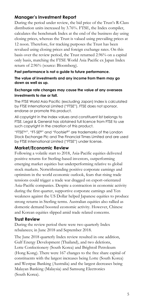## **Manager's Investment Report**

During the period under review, the bid price of the Trust's R-Class distribution units increased by 3.76%. FTSE, the Index compiler, calculates the benchmark Index at the end of the business day using closing prices, whereas the Trust is valued using prevailing prices at 12 noon. Therefore, for tracking purposes the Trust has been revalued using closing prices and foreign exchange rates. On this basis over the review period, the Trust returned 2.96% on a capital only basis, matching the FTSE World Asia Pacific ex Japan Index return of 2.96% (source: Bloomberg).

#### **Past performance is not a guide to future performance.**

**The value of investments and any income from them may go down as well as up.**

#### **Exchange rate changes may cause the value of any overseas investments to rise or fall.**

The FTSE World Asia Pacific (excluding Japan) Index is calculated by FTSE International Limited ("FTSE"). FTSE does not sponsor, endorse or promote this product.

All copyright in the Index values and constituent list belongs to FTSE. Legal & General has obtained full licence from FTSE to use such copyright in the creation of this product.

"FTSETM", "FT-SE®" and "Footsie®" are trademarks of the London Stock Exchange Plc and The Financial Times Limited and are used by FTSE International Limited ("FTSE") under license.

#### **Market/Economic Review**

Following a volatile start to 2018, Asia-Pacific equities delivered positive returns for Sterling-based investors, outperforming emerging market equities but underperforming relative to global stock markets. Notwithstanding positive corporate earnings and optimism in the world economic outlook, fears that rising trade tensions could trigger a trade war dragged on export-orientated Asia-Pacific companies. Despite a contraction in economic activity during the first quarter, supportive corporate earnings and Yen weakness against the US Dollar helped Japanese equities to produce strong returns in Sterling terms. Australian equities also rallied as domestic demand boosted economic activity. However, Chinese and Korean equities slipped amid trade related concerns.

#### **Trust Review**

During the review period there were two quarterly Index rebalances; in June 2018 and September 2018.

The June 2018 quarterly Index review resulted in one addition, Gulf Energy Development (Thailand), and two deletions, Lotte Confectionery (South Korea) and Brightoil Petroleum (Hong Kong). There were 167 changes to the free share capital of constituents with the largest increases being Lotte (South Korea) and Westpac Banking (Australia) and the largest decreases being Malayan Banking (Malaysia) and Samsung Electronics (South Korea).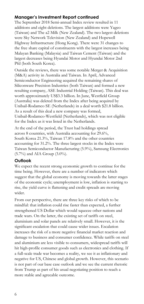### **Manager's Investment Report continued**

The September 2018 Semi-annual Index review resulted in 11 additions and eight deletions. The largest additions were Yageo (Taiwan) and The a2 Milk (New Zealand). The two largest deletions were Sky Network Television (New Zealand) and Hopewell Highway Infrastructure (Hong Kong). There were 31 changes to the free share capital of constituents with the largest increases being Malayan Banking (Malaysia) and Taiwan Cement (Taiwan) and the largest decreases being Hyundai Motor and Hyundai Motor 2nd Pfd (both South Korea).

Outside the reviews, there was some notable Merger & Acquisition (M&A) activity in Australia and Taiwan. In April, Advanced Semiconductor Engineering acquired the remaining shares of Siliconware Precision Industries (both Taiwan) and formed a new resulting company, ASE Industrial Holding (Taiwan). This deal was worth approximately US\$3.3 billion. In June, Westfield Group (Australia) was deleted from the Index after being acquired by Unibail-Rodamco SE (Netherlands) in a deal worth \$21.8 billion. As a result of this deal a new company was formed, Unibail-Rodamco-Westfield (Netherlands), which was not eligible for the Index as it was listed in the Netherlands.

At the end of the period, the Trust had holdings spread across 8 countries, with Australia accounting for 29.6%, South Korea 21.3%, Taiwan 17.8% and the other countries accounting for 31.2%. The three largest stocks in the Index were Taiwan Semiconductor Manufacturing (5.9%), Samsung Electronics (5.7%) and AIA Group (3.0%).

### **Outlook**

We expect the recent strong economic growth to continue for the time being. However, there are a number of indicators which suggest that the global economy is moving towards the latter stages of the economic cycle; unemployment is low, inflation is starting to rise, the yield curve is flattening and credit spreads are moving wider.

From our perspective, there are three key risks of which to be mindful: that inflation could rise faster than expected, a further strengthened US Dollar which would squeeze other nations and trade wars. On the latter, the existing set of tariffs on steel, aluminium and solar panels are relatively small. However, it is the significant escalation that could cause wider issues. Escalation increases the risk of a more negative financial market reaction and damage to business and consumer confidence. While tariffs on steel and aluminium are less visible to consumers, widespread tariffs will hit high-profile consumer goods such as electronics and clothing. If a full-scale trade war becomes a reality, we see it as inflationary and negative for US, Chinese and global growth. However, this scenario is not part of our base case outlook and we see the current rhetoric from Trump as part of his usual negotiating position to reach a more stable and agreeable outcome.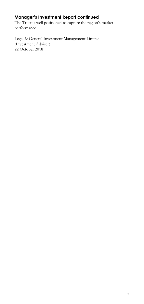# **Manager's Investment Report continued**

The Trust is well positioned to capture the region's market performance.

Legal & General Investment Management Limited (Investment Adviser) 22 October 2018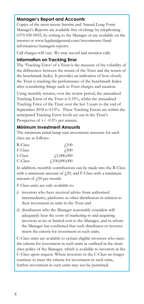### **Manager's Report and Accounts**

Copies of the most recent Interim and Annual Long Form Manager's Reports are available free of charge by telephoning 0370 050 0955, by writing to the Manager or are available on the internet at www.legalandgeneral.com/investments/fundinformation/managers-reports.

Call charges will vary. We may record and monitor calls.

### **Information on Tracking Error**

The 'Tracking Error' of a Trust is the measure of the volatility of the differences between the return of the Trust and the return of the benchmark Index. It provides an indication of how closely the Trust is tracking the performance of the benchmark Index after considering things such as Trust charges and taxation.

Using monthly returns, over the review period, the annualised Tracking Error of the Trust is 0.33%, whilst the annualised Tracking Error of the Trust over the last 3 years to the end of September 2018 is 0.15%. These Tracking Errors are within the anticipated Tracking Error levels set out in the Trust's Prospectus of  $+/- 0.5%$  per annum.

#### **Minimum Investment Amounts**

The minimum initial lump sum investment amounts for each class are as follows:

| R-Class | $\sqrt{100}$ |
|---------|--------------|
| F-Class | 4.500        |
| I-Class | f1,000,000   |
| C-Class | f100,000,000 |

In addition, monthly contributions can be made into the R-Class with a minimum amount of  $f(20)$ , and F-Class with a minimum amount of  $\sqrt{250}$  per month.

F-Class units are only available to:

- i) investors who have received advice from authorised intermediaries, platforms or other distributors in relation to their investment in units in the Trust and
- ii) distributors who the Manager reasonably considers will adequately bear the costs of marketing to and acquiring investors at no or limited cost to the Manager, and to whom the Manager has confirmed that such distributor or investor meets the criteria for investment in such units.

C-Class units are available to certain eligible investors who meet the criteria for investment in such units as outlined in the share class policy of the Manager, which is available to investors in the C-Class upon request. Where investors in the C-Class no longer continue to meet the criteria for investment in such units, further investment in such units may not be permitted.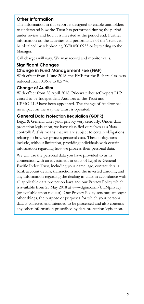### **Other Information**

The information in this report is designed to enable unitholders to understand how the Trust has performed during the period under review and how it is invested at the period end. Further information on the activities and performance of the Trust can be obtained by telephoning 0370 050 0955 or by writing to the Manager.

Call charges will vary. We may record and monitor calls.

## **Significant Changes**

### **Change in Fund Management Fee (FMF)**

With effect from 1 June 2018, the FMF for the R share class was reduced from 0.86% to 0.57%.

#### **Change of Auditor**

With effect from 28 April 2018, PricewaterhouseCoopers LLP ceased to be Independent Auditors of the Trust and KPMG LLP have been appointed. The change of Auditor has no impact on the way the Trust is operated.

### **General Data Protection Regulation (GDPR)**

Legal & General takes your privacy very seriously. Under data protection legislation, we have classified ourselves as a 'data controller'. This means that we are subject to certain obligations relating to how we process personal data. These obligations include, without limitation, providing individuals with certain information regarding how we process their personal data.

We will use the personal data you have provided to us in connection with an investment in units of Legal & General Pacific Index Trust, including your name, age, contact details, bank account details, transactions and the invested amount, and any information regarding the dealing in units in accordance with all applicable data protection laws and our Privacy Policy which is available from 25 May 2018 at www.lgim.com/UTMprivacy (or available upon request). Our Privacy Policy sets out, amongst other things, the purpose or purposes for which your personal data is collected and intended to be processed and also contains any other information prescribed by data protection legislation.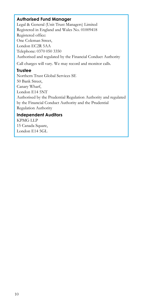### **Authorised Fund Manager**

Legal & General (Unit Trust Managers) Limited Registered in England and Wales No. 01009418 Registered office: One Coleman Street, London EC2R 5AA Telephone: 0370 050 3350 Authorised and regulated by the Financial Conduct Authority Call charges will vary. We may record and monitor calls.

### **Trustee**

Northern Trust Global Services SE 50 Bank Street, Canary Wharf, London E14 5NT Authorised by the Prudential Regulation Authority and regulated by the Financial Conduct Authority and the Prudential Regulation Authority

## **Independent Auditors**

KPMG LLP 15 Canada Square, London E14 5GL